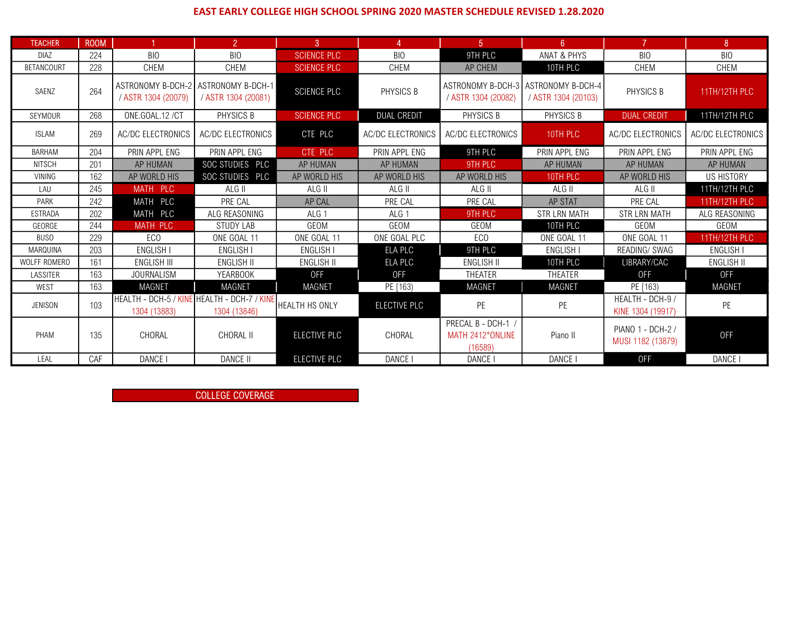## EAST EARLY COLLEGE HIGH SCHOOL SPRING 2020 MASTER SCHEDULE REVISED 1.28.2020

| <b>TEACHER</b>      | <b>ROOM</b> |                                                             | $\overline{2}$      | $\mathbf{3}$          | 4                        | 5 <sup>1</sup>                                             | 6 <sup>1</sup>      | 7                                      | 8                        |  |
|---------------------|-------------|-------------------------------------------------------------|---------------------|-----------------------|--------------------------|------------------------------------------------------------|---------------------|----------------------------------------|--------------------------|--|
| <b>DIAZ</b>         | 224         | BIO                                                         | <b>BIO</b>          | <b>SCIENCE PLC</b>    | <b>BIO</b>               | 9TH PLC                                                    | ANAT & PHYS         | BIO                                    | <b>BIO</b>               |  |
| <b>BETANCOURT</b>   | 228         | <b>CHEM</b>                                                 | <b>CHEM</b>         | <b>SCIENCE PLC</b>    | CHEM                     | <b>AP CHEM</b>                                             | 10TH PLC            | <b>CHEM</b>                            | <b>CHEM</b>              |  |
| SAENZ               | 264         | ASTRONOMY B-DCH-2 ASTRONOMY B-DCH-1<br>/ ASTR 1304 (20079)  | / ASTR 1304 (20081) | <b>SCIENCE PLC</b>    | PHYSICS B                | ASTRONOMY B-DCH-3 ASTRONOMY B-DCH-4<br>/ ASTR 1304 (20082) | / ASTR 1304 (20103) | PHYSICS B                              | 11TH/12TH PLC            |  |
| <b>SEYMOUR</b>      | 268         | ONE.GOAL.12 /CT                                             | PHYSICS B           | <b>SCIENCE PLC</b>    | <b>DUAL CREDIT</b>       | PHYSICS B                                                  | PHYSICS B           | <b>DUAL CREDIT</b>                     |                          |  |
| <b>ISLAM</b>        | 269         | AC/DC ELECTRONICS                                           | AC/DC ELECTRONICS   | CTE PLC               | <b>AC/DC ELECTRONICS</b> | AC/DC ELECTRONICS                                          | 10TH PLC            | <b>AC/DC ELECTRONICS</b>               | <b>AC/DC ELECTRONICS</b> |  |
| <b>BARHAM</b>       | 204         | PRIN APPL ENG                                               | PRIN APPL ENG       | CTE PLC               | PRIN APPL ENG            | 9TH PLC                                                    | PRIN APPL ENG       | PRIN APPL ENG                          | PRIN APPL ENG            |  |
| <b>NITSCH</b>       | 201         | AP HUMAN                                                    | SOC STUDIES PLC     | AP HUMAN              | AP HUMAN                 | 9TH PLC                                                    | AP HUMAN            | <b>AP HUMAN</b>                        | AP HUMAN                 |  |
| <b>VINING</b>       | 162         | AP WORLD HIS                                                | SOC STUDIES PLC     | AP WORLD HIS          | AP WORLD HIS             | AP WORLD HIS                                               | 10TH PLC            | AP WORLD HIS                           | US HISTORY               |  |
| LAU                 | 245         | MATH PLC                                                    | ALG II              | ALG II                | ALG II                   | ALG II                                                     | ALG II              | ALG II                                 | 11TH/12TH PLC            |  |
| PARK                | 242         | MATH PLC                                                    | PRE CAL             | AP CAL                | PRE CAL                  | PRE CAL                                                    | AP STAT             | PRE CAL                                | 11TH/12TH PLC            |  |
| <b>ESTRADA</b>      | 202         | MATH PLC                                                    | ALG REASONING       | ALG <sub>1</sub>      | ALG <sub>1</sub>         | 9TH PLC                                                    | <b>STR LRN MATH</b> | <b>STR LRN MATH</b>                    | ALG REASONING            |  |
| GEORGE              | 244         | <b>MATH PLC</b>                                             | <b>STUDY LAB</b>    | GEOM                  | GEOM                     | GEOM                                                       | 10TH PLC            | GEOM                                   | GEOM                     |  |
| <b>BUSO</b>         | 229         | EC <sub>0</sub>                                             | ONE GOAL 11         | ONE GOAL 11           | ONE GOAL PLC             | EC <sub>0</sub>                                            | ONE GOAL 11         | ONE GOAL 11                            | 11TH/12TH PLC            |  |
| MARQUINA            | 203         | <b>ENGLISH I</b>                                            | <b>ENGLISH I</b>    | ENGLISH I             | ELA PLC                  | 9TH PLC                                                    | <b>ENGLISH I</b>    | READING/ SWAG                          | <b>ENGLISH</b>           |  |
| <b>WOLFF ROMERO</b> | 161         | ENGLISH III                                                 | <b>ENGLISH II</b>   | <b>ENGLISH II</b>     | ELA PLC                  | <b>ENGLISH II</b>                                          | 10TH PLC            | LIBRARY/CAC                            | ENGLISH II               |  |
| <b>LASSITER</b>     | 163         | <b>JOURNALISM</b>                                           | <b>YEARBOOK</b>     | <b>OFF</b>            | <b>OFF</b>               | THEATER                                                    | THEATER             | <b>OFF</b>                             | <b>OFF</b>               |  |
| WEST                | 163         | <b>MAGNET</b>                                               | MAGNET              | MAGNET                | PE [163)                 | <b>MAGNET</b>                                              | <b>MAGNET</b>       | PE [163)                               | <b>MAGNET</b>            |  |
| <b>JENISON</b>      | 103         | HEALTH - DCH-5 / KINE HEALTH - DCH-7 / KINE<br>1304 (13883) | 1304 (13846)        | <b>HEALTH HS ONLY</b> | ELECTIVE PLC             | PE                                                         | PE                  | HEALTH - DCH-9 /<br>KINE 1304 (19917)  | PE                       |  |
| PHAM                | 135         | CHORAL                                                      | CHORAL II           | ELECTIVE PLC          | CHORAL                   | PRECAL B - DCH-1<br>MATH 2412*ONLINE<br>(16589)            | Piano II            | PIANO 1 - DCH-2 /<br>MUSI 1182 (13879) | <b>OFF</b>               |  |
| LEAL                | CAF         | DANCE I                                                     | <b>DANCE II</b>     | ELECTIVE PLC          | DANCE                    | DANCE I                                                    | DANCE I             | <b>OFF</b>                             | DANCE I                  |  |

COLLEGE COVERAGE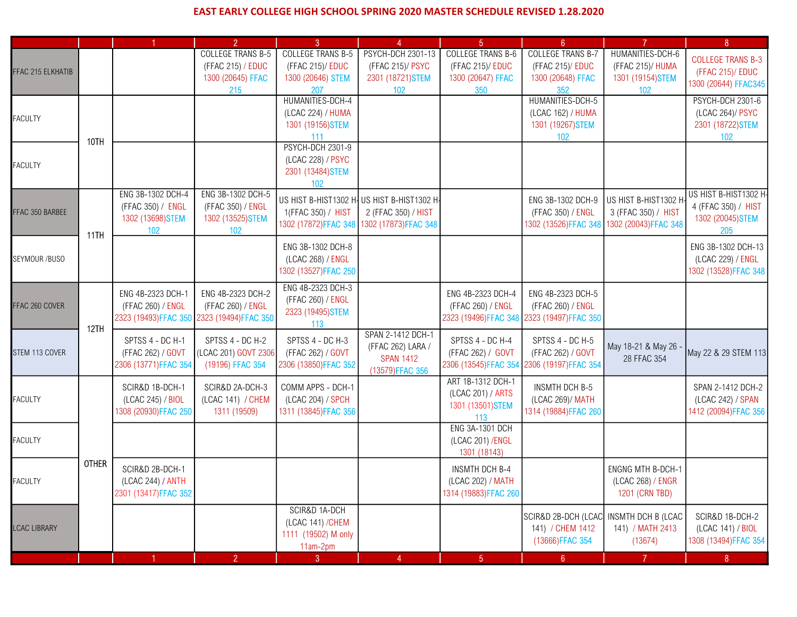## EAST EARLY COLLEGE HIGH SCHOOL SPRING 2020 MASTER SCHEDULE REVISED 1.28.2020

|                     |              |                       | $\overline{2}$           | 3                                        | $\boldsymbol{\Lambda}$                 | $\sqrt{5}$               | 6 <sup>6</sup>           | $\overline{7}$                      | 8                        |
|---------------------|--------------|-----------------------|--------------------------|------------------------------------------|----------------------------------------|--------------------------|--------------------------|-------------------------------------|--------------------------|
| FFAC 215 ELKHATIB   |              |                       | <b>COLLEGE TRANS B-5</b> | <b>COLLEGE TRANS B-5</b>                 | <b>PSYCH-DCH 2301-13</b>               | <b>COLLEGE TRANS B-6</b> | <b>COLLEGE TRANS B-7</b> | HUMANITIES-DCH-6                    | <b>COLLEGE TRANS B-3</b> |
|                     |              |                       | (FFAC 215) / EDUC        | (FFAC 215)/ EDUC                         | (FFAC 215)/ PSYC                       | (FFAC 215)/ EDUC         | (FFAC 215)/ EDUC         | (FFAC 215)/ HUMA                    | (FFAC 215)/ EDUC         |
|                     |              |                       | 1300 (20645) FFAC        | 1300 (20646) STEM                        | 2301 (18721) STEM                      | 1300 (20647) FFAC        | 1300 (20648) FFAC        | 1301 (19154) STEM                   | 1300 (20644) FFAC345     |
|                     |              |                       | 215                      | 207                                      | 102                                    | 350                      | 352                      | 102                                 |                          |
| <b>FACULTY</b>      |              |                       |                          | HUMANITIES-DCH-4                         |                                        |                          | HUMANITIES-DCH-5         |                                     | PSYCH-DCH 2301-6         |
|                     | 10TH         |                       |                          | (LCAC 224) / HUMA                        |                                        |                          | (LCAC 162) / HUMA        |                                     | (LCAC 264)/ PSYC         |
|                     |              |                       |                          | 1301 (19156) STEM                        |                                        |                          | 1301 (19267) STEM        |                                     | 2301 (18722) STEM        |
|                     |              |                       |                          | 111                                      |                                        |                          | 102                      |                                     | 102                      |
| <b>FACULTY</b>      |              |                       |                          | <b>PSYCH-DCH 2301-9</b>                  |                                        |                          |                          |                                     |                          |
|                     |              |                       |                          | (LCAC 228) / PSYC                        |                                        |                          |                          |                                     |                          |
|                     |              |                       |                          | 2301 (13484) STEM                        |                                        |                          |                          |                                     |                          |
|                     |              | ENG 3B-1302 DCH-4     | ENG 3B-1302 DCH-5        | 102                                      |                                        |                          |                          |                                     | US HIST B-HIST1302 H-    |
|                     |              | (FFAC 350) / ENGL     | (FFAC 350) / ENGL        | US HIST B-HIST1302 H-                    | US HIST B-HIST1302 H-                  |                          | ENG 3B-1302 DCH-9        | US HIST B-HIST1302 H                | 4 (FFAC 350) / HIST      |
| FFAC 350 BARBEE     |              | 1302 (13698) STEM     | 1302 (13525) STEM        | 1(FFAC 350) / HIST                       | 2 (FFAC 350) / HIST                    |                          | (FFAC 350) / ENGL        | 3 (FFAC 350) / HIST                 | 1302 (20045) STEM        |
|                     |              | 102                   | 102                      | 1302 (17872)FFAC 348                     | 1302 (17873)FFAC 348                   |                          | 1302 (13526) FFAC 348    | 1302 (20043) FFAC 348               | 205                      |
|                     | 11TH         |                       |                          |                                          |                                        |                          |                          |                                     |                          |
| SEYMOUR /BUSO       |              |                       |                          | ENG 3B-1302 DCH-8                        |                                        |                          |                          |                                     | ENG 3B-1302 DCH-13       |
|                     |              |                       |                          | (LCAC 268) / ENGL                        |                                        |                          |                          |                                     | (LCAC 229) / ENGL        |
|                     |              |                       |                          | 1302 (13527)FFAC 250                     |                                        |                          |                          |                                     | 1302 (13528) FFAC 348    |
|                     |              | ENG 4B-2323 DCH-1     | ENG 4B-2323 DCH-2        | ENG 4B-2323 DCH-3                        |                                        | ENG 4B-2323 DCH-4        | ENG 4B-2323 DCH-5        |                                     |                          |
| FFAC 260 COVER      |              | (FFAC 260) / ENGL     | (FFAC 260) / ENGL        | (FFAC 260) / ENGL                        |                                        | (FFAC 260) / ENGL        | (FFAC 260) / ENGL        |                                     |                          |
|                     |              | 2323 (19493)FFAC 350  | 2323 (19494) FFAC 350    | 2323 (19495) STEM                        |                                        | 2323 (19496) FFAC 348    | 2323 (19497) FFAC 350    |                                     |                          |
|                     | 12TH         |                       |                          | 113                                      |                                        |                          |                          |                                     |                          |
|                     |              | SPTSS 4 - DC H-1      | SPTSS 4 - DC H-2         | SPTSS 4 - DC H-3                         | SPAN 2-1412 DCH-1<br>(FFAC 262) LARA / | SPTSS 4 - DC H-4         | SPTSS 4 - DC H-5         |                                     |                          |
| STEM 113 COVER      |              | (FFAC 262) / GOVT     | (LCAC 201) GOVT 2306     | (FFAC 262) / GOVT                        | <b>SPAN 1412</b>                       | (FFAC 262) / GOVT        | (FFAC 262) / GOVT        | May 18-21 & May 26 -<br>28 FFAC 354 | May 22 & 29 STEM 113     |
|                     |              | 2306 (13771)FFAC 354  | (19196) FFAC 354         | 2306 (13850) FFAC 352                    | (13579)FFAC 356                        | 2306 (13545)FFAC 354     | 2306 (19197)FFAC 354     |                                     |                          |
|                     |              |                       |                          |                                          |                                        | ART 1B-1312 DCH-1        |                          |                                     |                          |
|                     |              | SCIR&D 1B-DCH-1       | SCIR&D 2A-DCH-3          | COMM APPS - DCH-1                        |                                        | (LCAC 201) / ARTS        | <b>INSMTH DCH B-5</b>    |                                     | SPAN 2-1412 DCH-2        |
| <b>FACULTY</b>      |              | (LCAC 245) / BIOL     | (LCAC 141) / CHEM        | (LCAC 204) / SPCH                        |                                        | 1301 (13501) STEM        | (LCAC 269)/ MATH         |                                     | (LCAC 242) / SPAN        |
|                     |              | 1308 (20930)FFAC 250  | 1311 (19509)             | 1311 (13845)FFAC 356                     |                                        | 113                      | 1314 (19884) FFAC 260    |                                     | 1412 (20094) FFAC 356    |
|                     |              |                       |                          |                                          |                                        | <b>ENG 3A-1301 DCH</b>   |                          |                                     |                          |
| <b>FACULTY</b>      |              |                       |                          |                                          |                                        | (LCAC 201) / ENGL        |                          |                                     |                          |
|                     |              |                       |                          |                                          |                                        | 1301 (18143)             |                          |                                     |                          |
|                     | <b>OTHER</b> | SCIR&D 2B-DCH-1       |                          |                                          |                                        | <b>INSMTH DCH B-4</b>    |                          | <b>ENGNG MTH B-DCH-1</b>            |                          |
| <b>FACULTY</b>      |              | (LCAC 244) / ANTH     |                          |                                          |                                        | (LCAC 202) / MATH        |                          | (LCAC 268) / ENGR                   |                          |
|                     |              | 2301 (13417) FFAC 352 |                          |                                          |                                        | 1314 (19883)FFAC 260     |                          | 1201 (CRN TBD)                      |                          |
|                     |              |                       |                          |                                          |                                        |                          |                          |                                     |                          |
| <b>LCAC LIBRARY</b> |              |                       |                          | SCIR&D 1A-DCH                            |                                        |                          | SCIR&D 2B-DCH (LCAC      | INSMTH DCH B (LCAC                  | SCIR&D 1B-DCH-2          |
|                     |              |                       |                          | (LCAC 141) / CHEM<br>1111 (19502) M only |                                        |                          | 141) / CHEM 1412         | 141) / MATH 2413                    | (LCAC 141) / BIOL        |
|                     |              |                       |                          | 11am-2pm                                 |                                        |                          | (13666)FFAC 354          | (13674)                             | 1308 (13494) FFAC 354    |
|                     |              |                       | 2 <sup>1</sup>           | 3 <sub>1</sub>                           | 4                                      | $\sqrt{5}$               | 6 <sub>6</sub>           | $\mathbf{7}$                        | 8 <sub>1</sub>           |